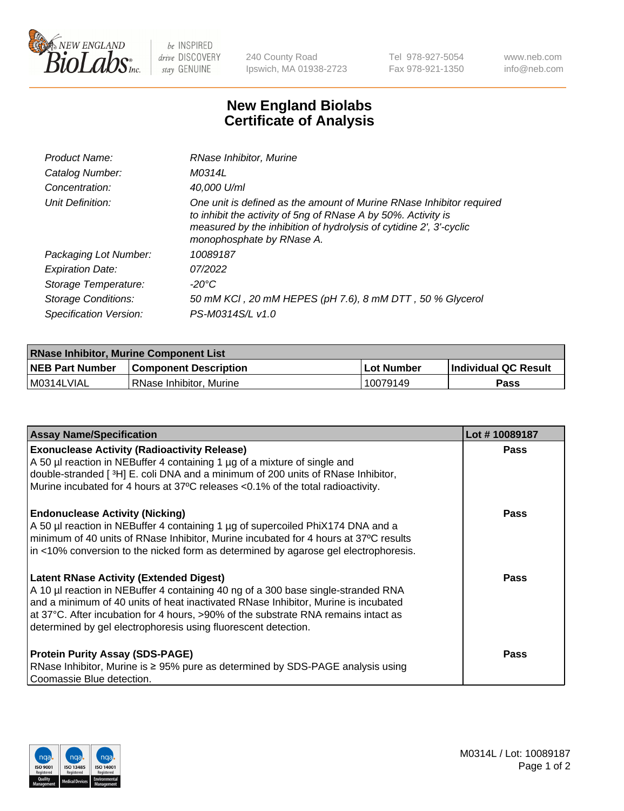

 $be$  INSPIRED drive DISCOVERY stay GENUINE

240 County Road Ipswich, MA 01938-2723 Tel 978-927-5054 Fax 978-921-1350 www.neb.com info@neb.com

## **New England Biolabs Certificate of Analysis**

| Product Name:           | RNase Inhibitor, Murine                                                                                                                                                                                                                  |
|-------------------------|------------------------------------------------------------------------------------------------------------------------------------------------------------------------------------------------------------------------------------------|
| Catalog Number:         | M0314L                                                                                                                                                                                                                                   |
| Concentration:          | 40,000 U/ml                                                                                                                                                                                                                              |
| Unit Definition:        | One unit is defined as the amount of Murine RNase Inhibitor required<br>to inhibit the activity of 5ng of RNase A by 50%. Activity is<br>measured by the inhibition of hydrolysis of cytidine 2', 3'-cyclic<br>monophosphate by RNase A. |
| Packaging Lot Number:   | 10089187                                                                                                                                                                                                                                 |
| <b>Expiration Date:</b> | 07/2022                                                                                                                                                                                                                                  |
| Storage Temperature:    | -20°C                                                                                                                                                                                                                                    |
| Storage Conditions:     | 50 mM KCI, 20 mM HEPES (pH 7.6), 8 mM DTT, 50 % Glycerol                                                                                                                                                                                 |
| Specification Version:  | PS-M0314S/L v1.0                                                                                                                                                                                                                         |

| <b>RNase Inhibitor, Murine Component List</b> |                              |              |                             |  |
|-----------------------------------------------|------------------------------|--------------|-----------------------------|--|
| <b>NEB Part Number</b>                        | <b>Component Description</b> | l Lot Number | <b>Individual QC Result</b> |  |
| M0314LVIAL                                    | l RNase Inhibitor. Murine    | 10079149     | Pass                        |  |

| <b>Assay Name/Specification</b>                                                                                                                                             | Lot #10089187 |
|-----------------------------------------------------------------------------------------------------------------------------------------------------------------------------|---------------|
| <b>Exonuclease Activity (Radioactivity Release)</b>                                                                                                                         | <b>Pass</b>   |
| A 50 µl reaction in NEBuffer 4 containing 1 µg of a mixture of single and<br>double-stranded [3H] E. coli DNA and a minimum of 200 units of RNase Inhibitor,                |               |
| Murine incubated for 4 hours at 37°C releases <0.1% of the total radioactivity.                                                                                             |               |
| <b>Endonuclease Activity (Nicking)</b>                                                                                                                                      | <b>Pass</b>   |
| A 50 µl reaction in NEBuffer 4 containing 1 µg of supercoiled PhiX174 DNA and a                                                                                             |               |
| minimum of 40 units of RNase Inhibitor, Murine incubated for 4 hours at 37°C results<br>in <10% conversion to the nicked form as determined by agarose gel electrophoresis. |               |
|                                                                                                                                                                             |               |
| <b>Latent RNase Activity (Extended Digest)</b>                                                                                                                              | <b>Pass</b>   |
| A 10 µl reaction in NEBuffer 4 containing 40 ng of a 300 base single-stranded RNA                                                                                           |               |
| and a minimum of 40 units of heat inactivated RNase Inhibitor, Murine is incubated                                                                                          |               |
| at 37°C. After incubation for 4 hours, >90% of the substrate RNA remains intact as                                                                                          |               |
| determined by gel electrophoresis using fluorescent detection.                                                                                                              |               |
| <b>Protein Purity Assay (SDS-PAGE)</b>                                                                                                                                      | Pass          |
| RNase Inhibitor, Murine is ≥ 95% pure as determined by SDS-PAGE analysis using                                                                                              |               |
| Coomassie Blue detection.                                                                                                                                                   |               |